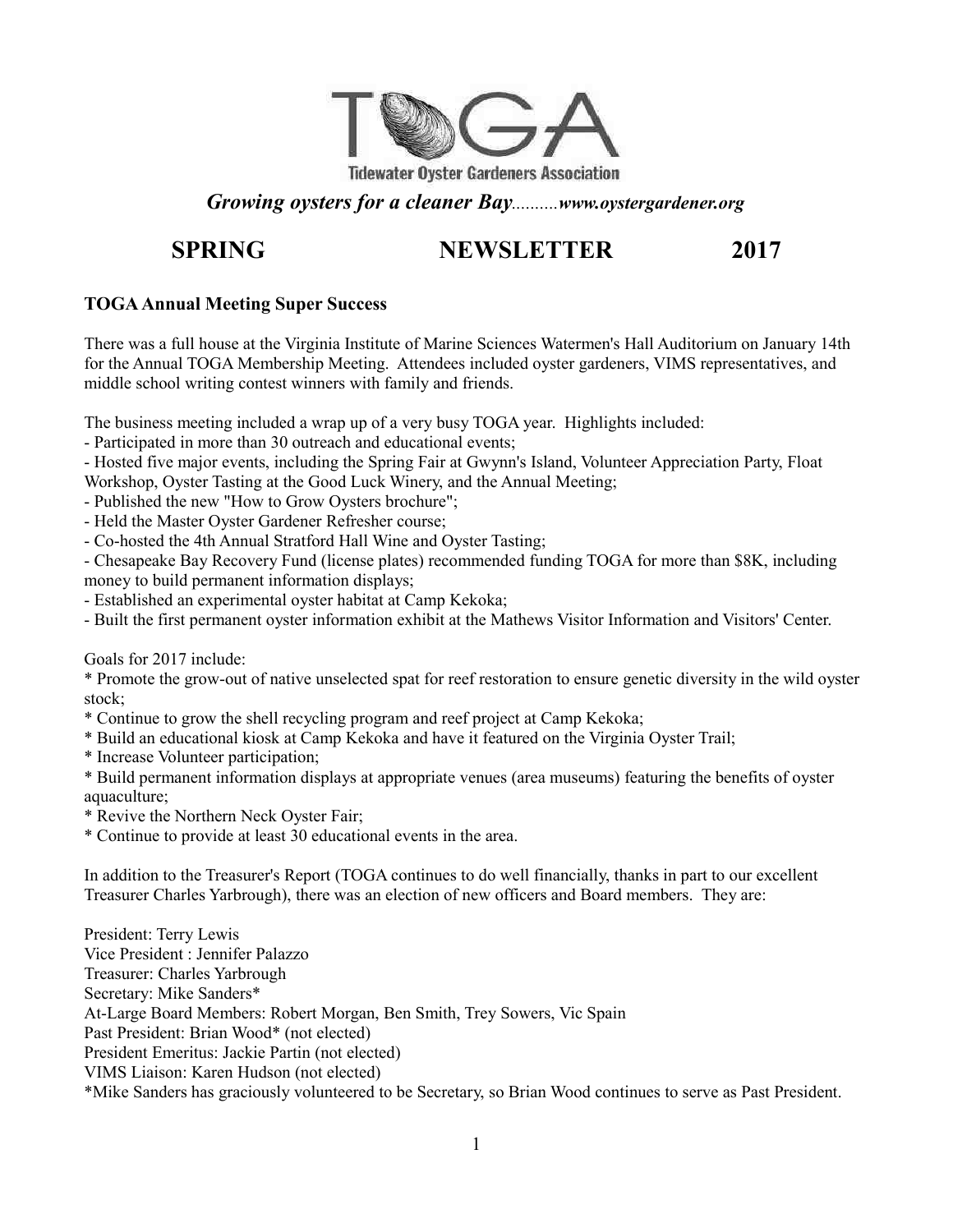

## *Growing oysters for a cleaner Bay..........www.oystergardener.org*

# **SPRING NEWSLETTER 2017**

### **TOGA Annual Meeting Super Success**

There was a full house at the Virginia Institute of Marine Sciences Watermen's Hall Auditorium on January 14th for the Annual TOGA Membership Meeting. Attendees included oyster gardeners, VIMS representatives, and middle school writing contest winners with family and friends.

The business meeting included a wrap up of a very busy TOGA year. Highlights included:

- Participated in more than 30 outreach and educational events;

- Hosted five major events, including the Spring Fair at Gwynn's Island, Volunteer Appreciation Party, Float Workshop, Oyster Tasting at the Good Luck Winery, and the Annual Meeting;

- Published the new "How to Grow Oysters brochure";
- Held the Master Oyster Gardener Refresher course;
- Co-hosted the 4th Annual Stratford Hall Wine and Oyster Tasting;

- Chesapeake Bay Recovery Fund (license plates) recommended funding TOGA for more than \$8K, including money to build permanent information displays;

- Established an experimental oyster habitat at Camp Kekoka;
- Built the first permanent oyster information exhibit at the Mathews Visitor Information and Visitors' Center.

Goals for 2017 include:

\* Promote the grow-out of native unselected spat for reef restoration to ensure genetic diversity in the wild oyster stock;

- \* Continue to grow the shell recycling program and reef project at Camp Kekoka;
- \* Build an educational kiosk at Camp Kekoka and have it featured on the Virginia Oyster Trail;
- \* Increase Volunteer participation;

\* Build permanent information displays at appropriate venues (area museums) featuring the benefits of oyster aquaculture;

- \* Revive the Northern Neck Oyster Fair;
- \* Continue to provide at least 30 educational events in the area.

In addition to the Treasurer's Report (TOGA continues to do well financially, thanks in part to our excellent Treasurer Charles Yarbrough), there was an election of new officers and Board members. They are:

President: Terry Lewis Vice President : Jennifer Palazzo Treasurer: Charles Yarbrough Secretary: Mike Sanders\* At-Large Board Members: Robert Morgan, Ben Smith, Trey Sowers, Vic Spain Past President: Brian Wood\* (not elected) President Emeritus: Jackie Partin (not elected) VIMS Liaison: Karen Hudson (not elected) \*Mike Sanders has graciously volunteered to be Secretary, so Brian Wood continues to serve as Past President.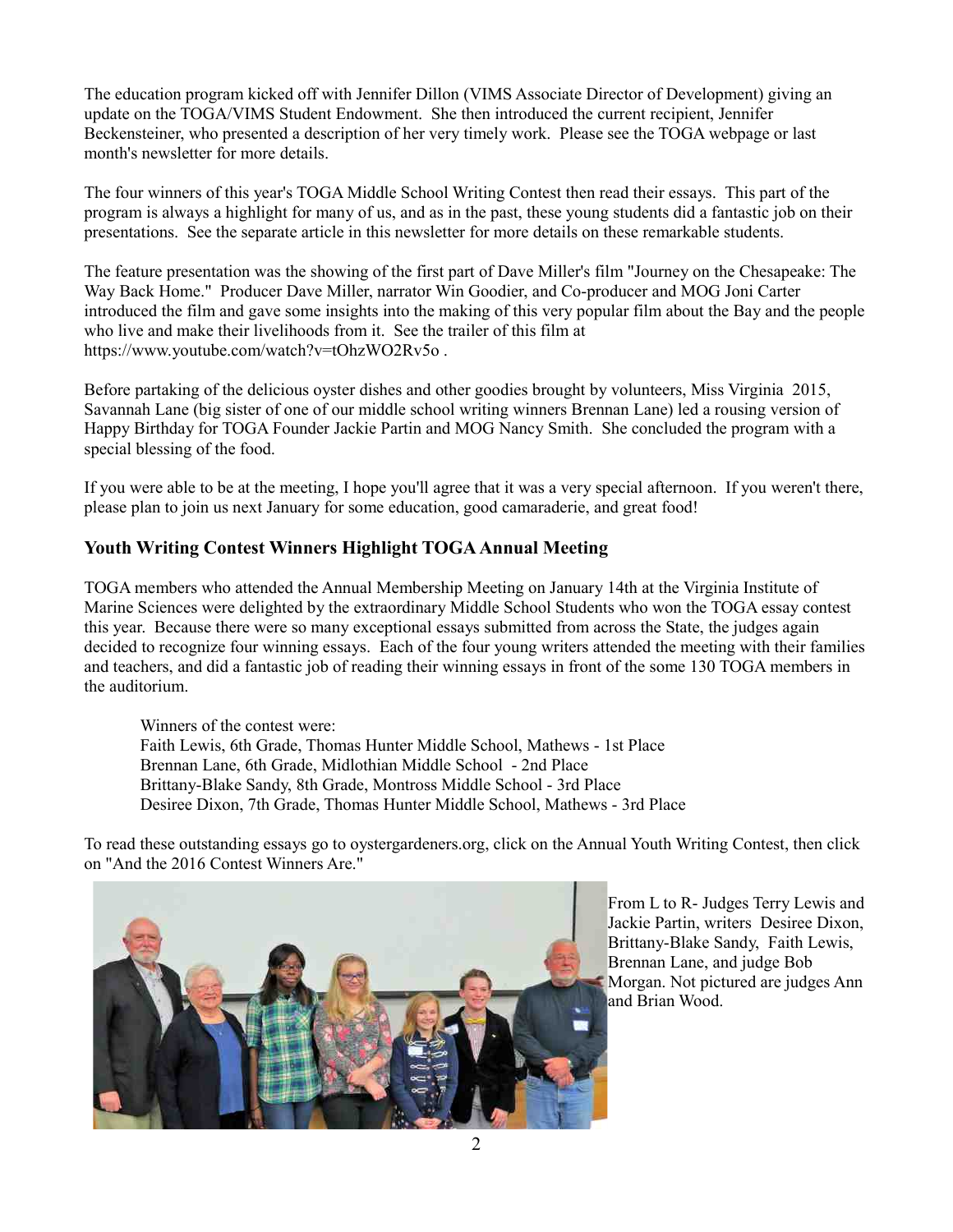The education program kicked off with Jennifer Dillon (VIMS Associate Director of Development) giving an update on the TOGA/VIMS Student Endowment. She then introduced the current recipient, Jennifer Beckensteiner, who presented a description of her very timely work. Please see the TOGA webpage or last month's newsletter for more details.

The four winners of this year's TOGA Middle School Writing Contest then read their essays. This part of the program is always a highlight for many of us, and as in the past, these young students did a fantastic job on their presentations. See the separate article in this newsletter for more details on these remarkable students.

The feature presentation was the showing of the first part of Dave Miller's film "Journey on the Chesapeake: The Way Back Home." Producer Dave Miller, narrator Win Goodier, and Co-producer and MOG Joni Carter introduced the film and gave some insights into the making of this very popular film about the Bay and the people who live and make their livelihoods from it. See the trailer of this film at https://www.youtube.com/watch?v=tOhzWO2Rv5o .

Before partaking of the delicious oyster dishes and other goodies brought by volunteers, Miss Virginia 2015, Savannah Lane (big sister of one of our middle school writing winners Brennan Lane) led a rousing version of Happy Birthday for TOGA Founder Jackie Partin and MOG Nancy Smith. She concluded the program with a special blessing of the food.

If you were able to be at the meeting, I hope you'll agree that it was a very special afternoon. If you weren't there, please plan to join us next January for some education, good camaraderie, and great food!

### **Youth Writing Contest Winners Highlight TOGA Annual Meeting**

TOGA members who attended the Annual Membership Meeting on January 14th at the Virginia Institute of Marine Sciences were delighted by the extraordinary Middle School Students who won the TOGA essay contest this year. Because there were so many exceptional essays submitted from across the State, the judges again decided to recognize four winning essays. Each of the four young writers attended the meeting with their families and teachers, and did a fantastic job of reading their winning essays in front of the some 130 TOGA members in the auditorium.

Winners of the contest were: Faith Lewis, 6th Grade, Thomas Hunter Middle School, Mathews - 1st Place Brennan Lane, 6th Grade, Midlothian Middle School - 2nd Place Brittany-Blake Sandy, 8th Grade, Montross Middle School - 3rd Place Desiree Dixon, 7th Grade, Thomas Hunter Middle School, Mathews - 3rd Place

To read these outstanding essays go to oystergardeners.org, click on the Annual Youth Writing Contest, then click on "And the 2016 Contest Winners Are."



From L to R- Judges Terry Lewis and Jackie Partin, writers Desiree Dixon, Brittany-Blake Sandy, Faith Lewis, Brennan Lane, and judge Bob Morgan. Not pictured are judges Ann and Brian Wood.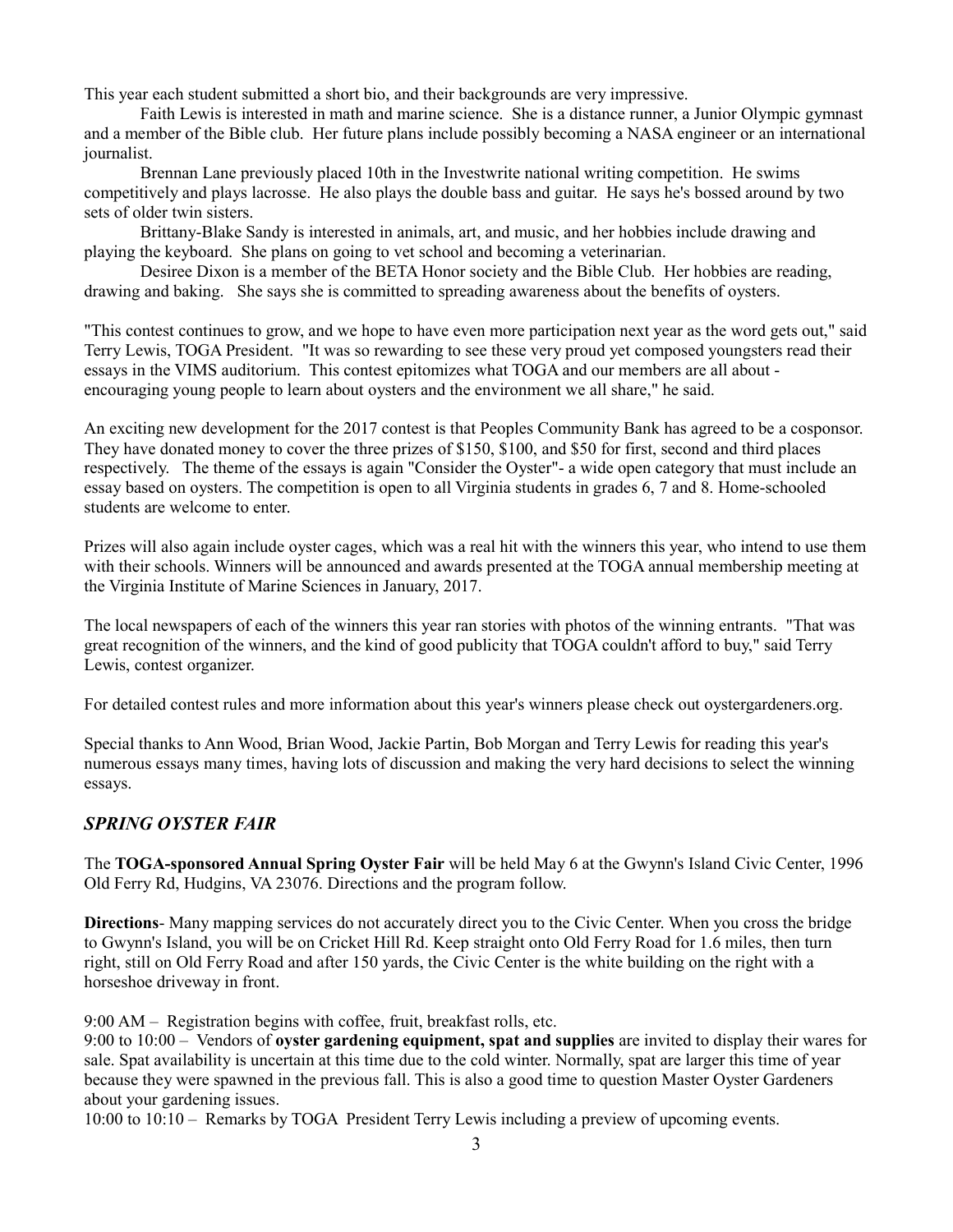This year each student submitted a short bio, and their backgrounds are very impressive.

Faith Lewis is interested in math and marine science. She is a distance runner, a Junior Olympic gymnast and a member of the Bible club. Her future plans include possibly becoming a NASA engineer or an international journalist.

Brennan Lane previously placed 10th in the Investwrite national writing competition. He swims competitively and plays lacrosse. He also plays the double bass and guitar. He says he's bossed around by two sets of older twin sisters.

Brittany-Blake Sandy is interested in animals, art, and music, and her hobbies include drawing and playing the keyboard. She plans on going to vet school and becoming a veterinarian.

Desiree Dixon is a member of the BETA Honor society and the Bible Club. Her hobbies are reading, drawing and baking. She says she is committed to spreading awareness about the benefits of oysters.

"This contest continues to grow, and we hope to have even more participation next year as the word gets out," said Terry Lewis, TOGA President. "It was so rewarding to see these very proud yet composed youngsters read their essays in the VIMS auditorium. This contest epitomizes what TOGA and our members are all about encouraging young people to learn about oysters and the environment we all share," he said.

An exciting new development for the 2017 contest is that Peoples Community Bank has agreed to be a cosponsor. They have donated money to cover the three prizes of \$150, \$100, and \$50 for first, second and third places respectively. The theme of the essays is again "Consider the Oyster"- a wide open category that must include an essay based on oysters. The competition is open to all Virginia students in grades 6, 7 and 8. Home-schooled students are welcome to enter.

Prizes will also again include oyster cages, which was a real hit with the winners this year, who intend to use them with their schools. Winners will be announced and awards presented at the TOGA annual membership meeting at the Virginia Institute of Marine Sciences in January, 2017.

The local newspapers of each of the winners this year ran stories with photos of the winning entrants. "That was great recognition of the winners, and the kind of good publicity that TOGA couldn't afford to buy," said Terry Lewis, contest organizer.

For detailed contest rules and more information about this year's winners please check out oystergardeners.org.

Special thanks to Ann Wood, Brian Wood, Jackie Partin, Bob Morgan and Terry Lewis for reading this year's numerous essays many times, having lots of discussion and making the very hard decisions to select the winning essays.

### *SPRING OYSTER FAIR*

The **TOGA-sponsored Annual Spring Oyster Fair** will be held May 6 at the Gwynn's Island Civic Center, 1996 Old Ferry Rd, Hudgins, VA 23076. Directions and the program follow.

**Directions**- Many mapping services do not accurately direct you to the Civic Center. When you cross the bridge to Gwynn's Island, you will be on Cricket Hill Rd. Keep straight onto Old Ferry Road for 1.6 miles, then turn right, still on Old Ferry Road and after 150 yards, the Civic Center is the white building on the right with a horseshoe driveway in front.

9:00 AM – Registration begins with coffee, fruit, breakfast rolls, etc.

9:00 to 10:00 – Vendors of **oyster gardening equipment, spat and supplies** are invited to display their wares for sale. Spat availability is uncertain at this time due to the cold winter. Normally, spat are larger this time of year because they were spawned in the previous fall. This is also a good time to question Master Oyster Gardeners about your gardening issues.

10:00 to 10:10 – Remarks by TOGA President Terry Lewis including a preview of upcoming events.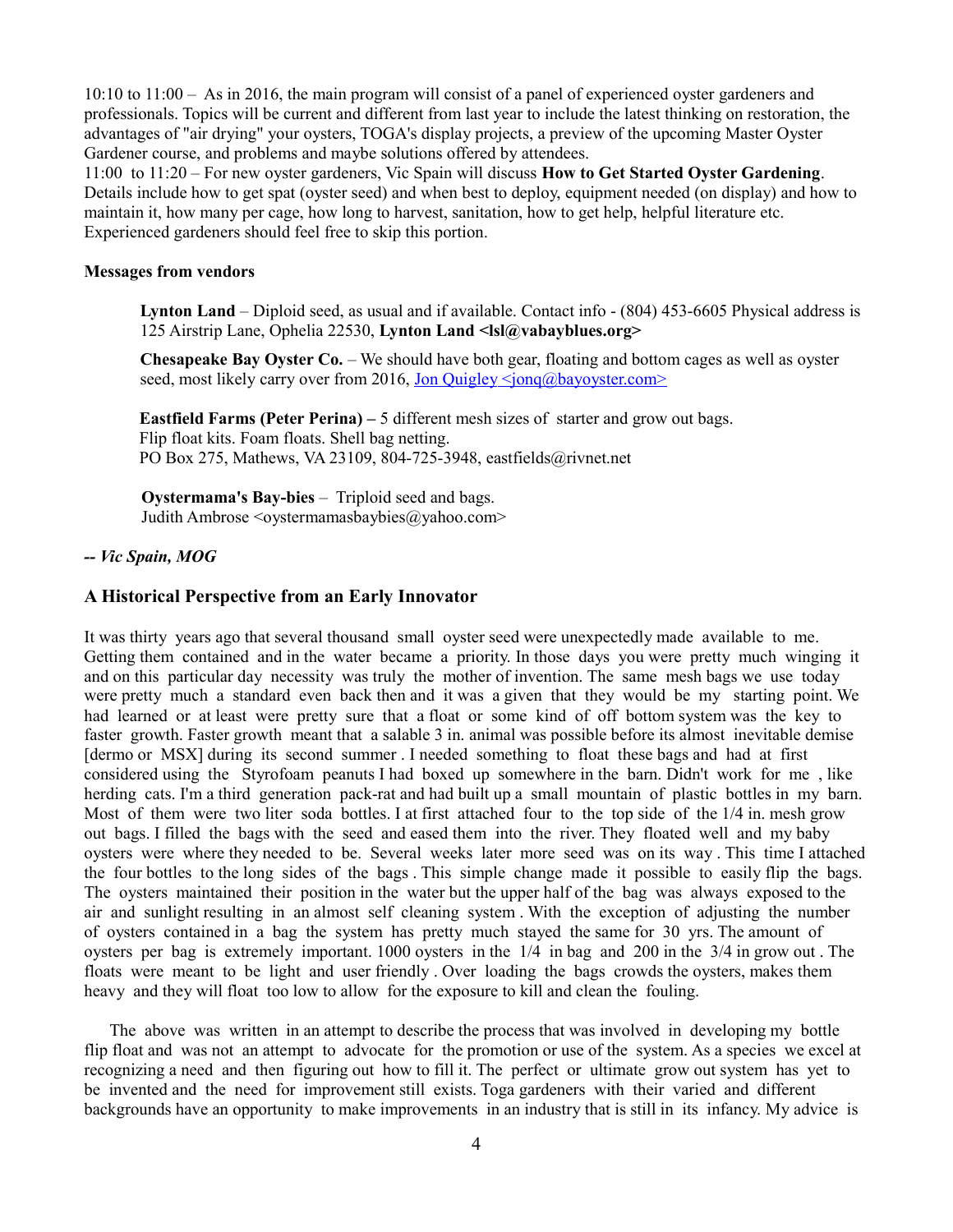10:10 to 11:00 – As in 2016, the main program will consist of a panel of experienced oyster gardeners and professionals. Topics will be current and different from last year to include the latest thinking on restoration, the advantages of "air drying" your oysters, TOGA's display projects, a preview of the upcoming Master Oyster Gardener course, and problems and maybe solutions offered by attendees.

11:00 to 11:20 – For new oyster gardeners, Vic Spain will discuss **How to Get Started Oyster Gardening**. Details include how to get spat (oyster seed) and when best to deploy, equipment needed (on display) and how to maintain it, how many per cage, how long to harvest, sanitation, how to get help, helpful literature etc. Experienced gardeners should feel free to skip this portion.

#### **Messages from vendors**

**Lynton Land** – Diploid seed, as usual and if available. Contact info - (804) 453-6605 Physical address is 125 Airstrip Lane, Ophelia 22530, **Lynton Land <lsl@vabayblues.org>**

**Chesapeake Bay Oyster Co.** – We should have both gear, floating and bottom cages as well as oyster seed, most likely carry over from 2016, Jon Quigley  $\leq$ jonq@bayoyster.com>

**Eastfield Farms (Peter Perina)** – 5 different mesh sizes of starter and grow out bags. Flip float kits. Foam floats. Shell bag netting. PO Box 275, Mathews, VA 23109, 804-725-3948, eastfields@rivnet.net

**Oystermama's Bay-bies** – Triploid seed and bags. Judith Ambrose <oystermamasbaybies@yahoo.com>

#### *-- Vic Spain, MOG*

#### **A Historical Perspective from an Early Innovator**

It was thirty years ago that several thousand small oyster seed were unexpectedly made available to me. Getting them contained and in the water became a priority. In those days you were pretty much winging it and on this particular day necessity was truly the mother of invention. The same mesh bags we use today were pretty much a standard even back then and it was a given that they would be my starting point. We had learned or at least were pretty sure that a float or some kind of off bottom system was the key to faster growth. Faster growth meant that a salable 3 in. animal was possible before its almost inevitable demise [dermo or MSX] during its second summer . I needed something to float these bags and had at first considered using the Styrofoam peanuts I had boxed up somewhere in the barn. Didn't work for me , like herding cats. I'm a third generation pack-rat and had built up a small mountain of plastic bottles in my barn. Most of them were two liter soda bottles. I at first attached four to the top side of the 1/4 in. mesh grow out bags. I filled the bags with the seed and eased them into the river. They floated well and my baby oysters were where they needed to be. Several weeks later more seed was on its way . This time I attached the four bottles to the long sides of the bags . This simple change made it possible to easily flip the bags. The oysters maintained their position in the water but the upper half of the bag was always exposed to the air and sunlight resulting in an almost self cleaning system . With the exception of adjusting the number of oysters contained in a bag the system has pretty much stayed the same for 30 yrs. The amount of oysters per bag is extremely important. 1000 oysters in the 1/4 in bag and 200 in the 3/4 in grow out . The floats were meant to be light and user friendly . Over loading the bags crowds the oysters, makes them heavy and they will float too low to allow for the exposure to kill and clean the fouling.

 The above was written in an attempt to describe the process that was involved in developing my bottle flip float and was not an attempt to advocate for the promotion or use of the system. As a species we excel at recognizing a need and then figuring out how to fill it. The perfect or ultimate grow out system has yet to be invented and the need for improvement still exists. Toga gardeners with their varied and different backgrounds have an opportunity to make improvements in an industry that is still in its infancy. My advice is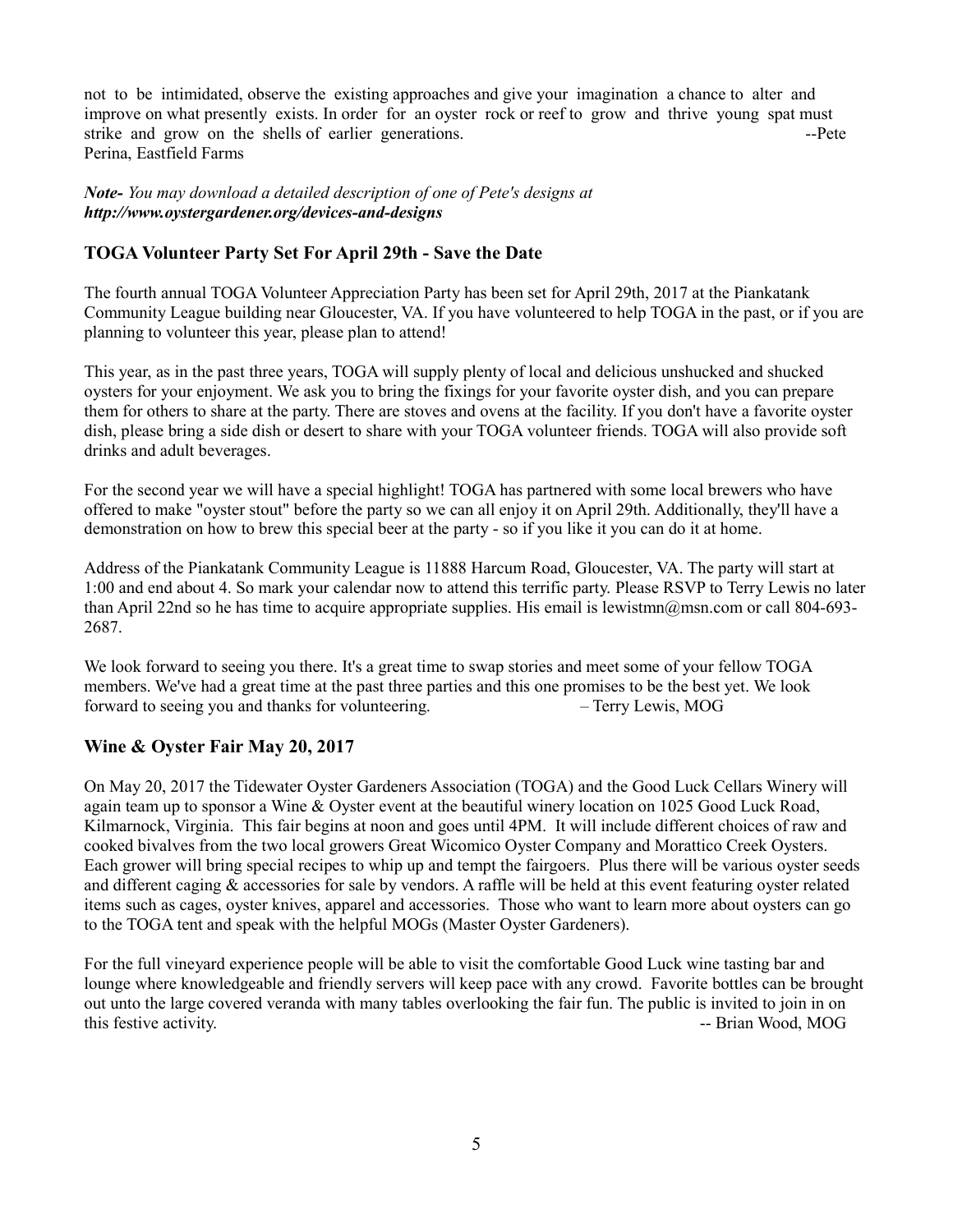not to be intimidated, observe the existing approaches and give your imagination a chance to alter and improve on what presently exists. In order for an oyster rock or reef to grow and thrive young spat must strike and grow on the shells of earlier generations.  $\qquad -P$ ete Perina, Eastfield Farms

*Note- You may download a detailed description of one of Pete's designs at http://www.oystergardener.org/devices-and-designs*

### **TOGA Volunteer Party Set For April 29th - Save the Date**

The fourth annual TOGA Volunteer Appreciation Party has been set for April 29th, 2017 at the Piankatank Community League building near Gloucester, VA. If you have volunteered to help TOGA in the past, or if you are planning to volunteer this year, please plan to attend!

This year, as in the past three years, TOGA will supply plenty of local and delicious unshucked and shucked oysters for your enjoyment. We ask you to bring the fixings for your favorite oyster dish, and you can prepare them for others to share at the party. There are stoves and ovens at the facility. If you don't have a favorite oyster dish, please bring a side dish or desert to share with your TOGA volunteer friends. TOGA will also provide soft drinks and adult beverages.

For the second year we will have a special highlight! TOGA has partnered with some local brewers who have offered to make "oyster stout" before the party so we can all enjoy it on April 29th. Additionally, they'll have a demonstration on how to brew this special beer at the party - so if you like it you can do it at home.

Address of the Piankatank Community League is 11888 Harcum Road, Gloucester, VA. The party will start at 1:00 and end about 4. So mark your calendar now to attend this terrific party. Please RSVP to Terry Lewis no later than April 22nd so he has time to acquire appropriate supplies. His email is lewistmn@msn.com or call 804-693- 2687.

We look forward to seeing you there. It's a great time to swap stories and meet some of your fellow TOGA members. We've had a great time at the past three parties and this one promises to be the best yet. We look forward to seeing you and thanks for volunteering. – Terry Lewis, MOG

### **Wine & Oyster Fair May 20, 2017**

On May 20, 2017 the Tidewater Oyster Gardeners Association (TOGA) and the Good Luck Cellars Winery will again team up to sponsor a Wine & Oyster event at the beautiful winery location on 1025 Good Luck Road, Kilmarnock, Virginia. This fair begins at noon and goes until 4PM. It will include different choices of raw and cooked bivalves from the two local growers Great Wicomico Oyster Company and Morattico Creek Oysters. Each grower will bring special recipes to whip up and tempt the fairgoers. Plus there will be various oyster seeds and different caging & accessories for sale by vendors. A raffle will be held at this event featuring oyster related items such as cages, oyster knives, apparel and accessories. Those who want to learn more about oysters can go to the TOGA tent and speak with the helpful MOGs (Master Oyster Gardeners).

For the full vineyard experience people will be able to visit the comfortable Good Luck wine tasting bar and lounge where knowledgeable and friendly servers will keep pace with any crowd. Favorite bottles can be brought out unto the large covered veranda with many tables overlooking the fair fun. The public is invited to join in on this festive activity. The state activity of the state activity of the state activity.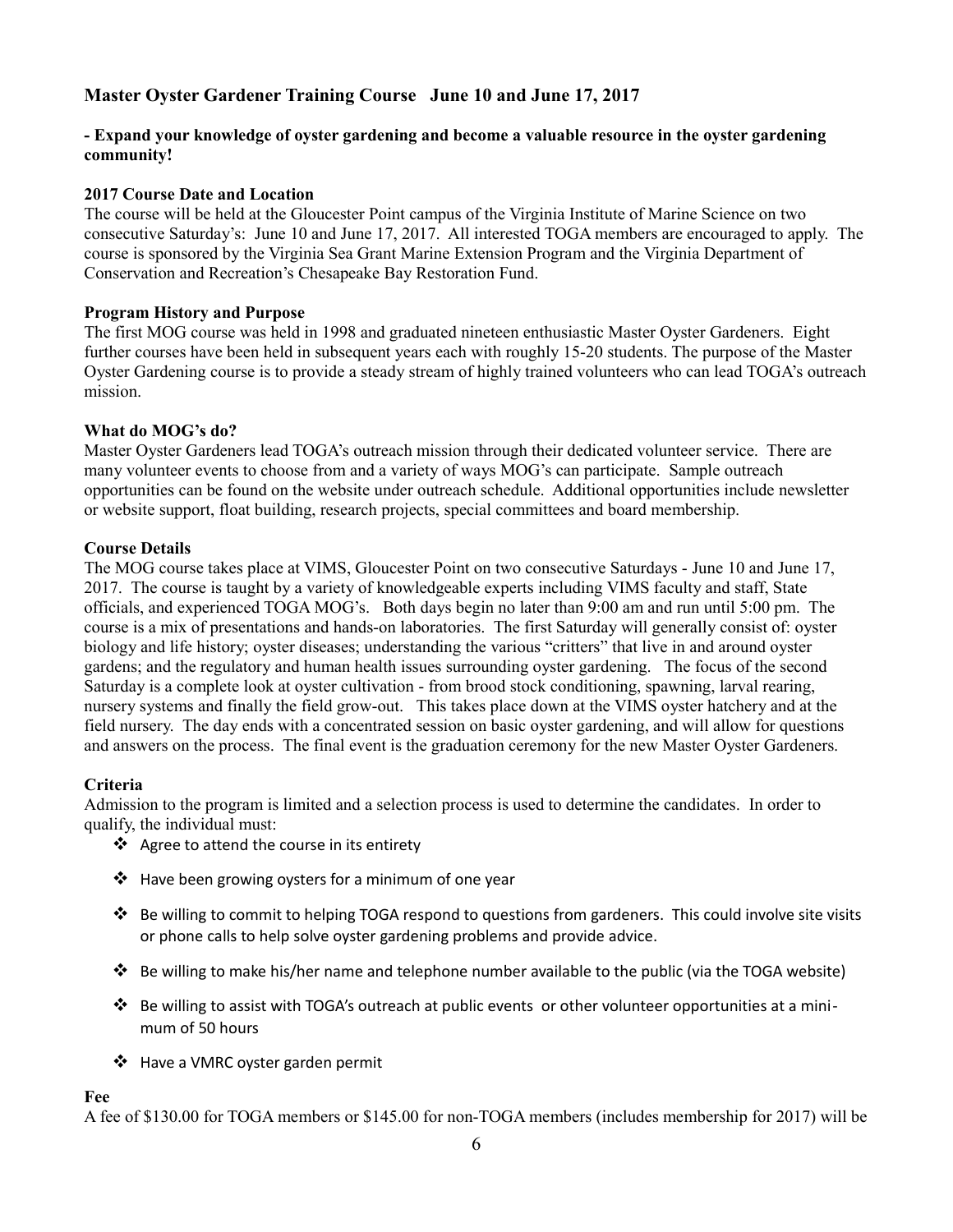## **Master Oyster Gardener Training Course June 10 and June 17, 2017**

#### **- Expand your knowledge of oyster gardening and become a valuable resource in the oyster gardening community!**

#### **2017 Course Date and Location**

The course will be held at the Gloucester Point campus of the Virginia Institute of Marine Science on two consecutive Saturday's: June 10 and June 17, 2017. All interested TOGA members are encouraged to apply. The course is sponsored by the Virginia Sea Grant Marine Extension Program and the Virginia Department of Conservation and Recreation's Chesapeake Bay Restoration Fund.

#### **Program History and Purpose**

The first MOG course was held in 1998 and graduated nineteen enthusiastic Master Oyster Gardeners. Eight further courses have been held in subsequent years each with roughly 15-20 students. The purpose of the Master Oyster Gardening course is to provide a steady stream of highly trained volunteers who can lead TOGA's outreach mission.

#### **What do MOG's do?**

Master Oyster Gardeners lead TOGA's outreach mission through their dedicated volunteer service. There are many volunteer events to choose from and a variety of ways MOG's can participate. Sample outreach opportunities can be found on the website under outreach schedule. Additional opportunities include newsletter or website support, float building, research projects, special committees and board membership.

#### **Course Details**

The MOG course takes place at VIMS, Gloucester Point on two consecutive Saturdays - June 10 and June 17, 2017. The course is taught by a variety of knowledgeable experts including VIMS faculty and staff, State officials, and experienced TOGA MOG's. Both days begin no later than 9:00 am and run until 5:00 pm. The course is a mix of presentations and hands-on laboratories. The first Saturday will generally consist of: oyster biology and life history; oyster diseases; understanding the various "critters" that live in and around oyster gardens; and the regulatory and human health issues surrounding oyster gardening. The focus of the second Saturday is a complete look at oyster cultivation - from brood stock conditioning, spawning, larval rearing, nursery systems and finally the field grow-out. This takes place down at the VIMS oyster hatchery and at the field nursery. The day ends with a concentrated session on basic oyster gardening, and will allow for questions and answers on the process. The final event is the graduation ceremony for the new Master Oyster Gardeners.

### **Criteria**

Admission to the program is limited and a selection process is used to determine the candidates. In order to qualify, the individual must:

- ❖ Agree to attend the course in its entirety
- $\triangleq$  Have been growing oysters for a minimum of one year
- $\dots$  Be willing to commit to helping TOGA respond to questions from gardeners. This could involve site visits or phone calls to help solve oyster gardening problems and provide advice.
- Be willing to make his/her name and telephone number available to the public (via the TOGA website)
- $\clubsuit$  Be willing to assist with TOGA's outreach at public events or other volunteer opportunities at a minimum of 50 hours
- ❖ Have a VMRC oyster garden permit

#### **Fee**

A fee of \$130.00 for TOGA members or \$145.00 for non-TOGA members (includes membership for 2017) will be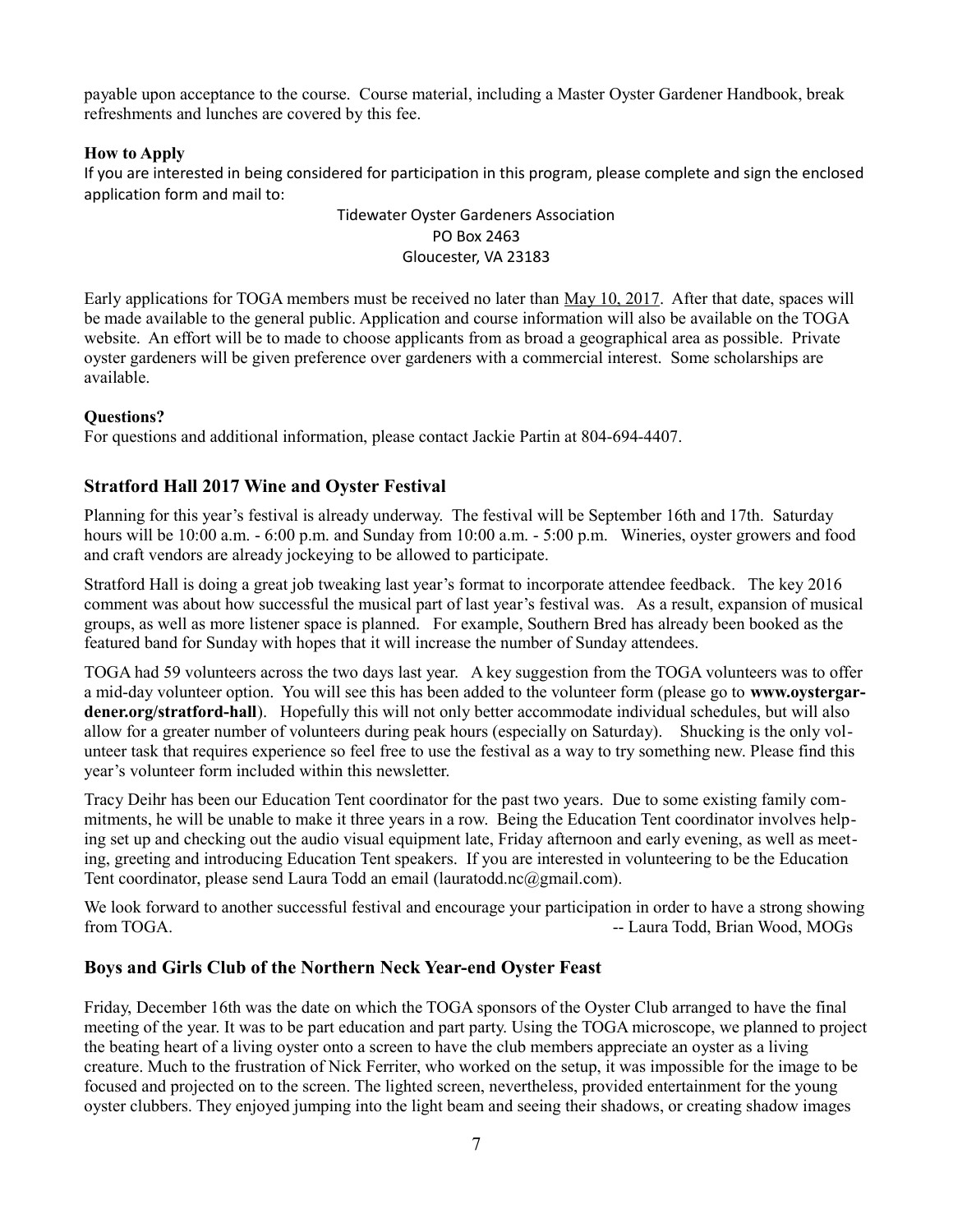payable upon acceptance to the course. Course material, including a Master Oyster Gardener Handbook, break refreshments and lunches are covered by this fee.

#### **How to Apply**

If you are interested in being considered for participation in this program, please complete and sign the enclosed application form and mail to:

#### Tidewater Oyster Gardeners Association PO Box 2463 Gloucester, VA 23183

Early applications for TOGA members must be received no later than May 10, 2017. After that date, spaces will be made available to the general public. Application and course information will also be available on the TOGA website. An effort will be to made to choose applicants from as broad a geographical area as possible. Private oyster gardeners will be given preference over gardeners with a commercial interest. Some scholarships are available.

#### **Questions?**

For questions and additional information, please contact Jackie Partin at 804-694-4407.

### **Stratford Hall 2017 Wine and Oyster Festival**

Planning for this year's festival is already underway. The festival will be September 16th and 17th. Saturday hours will be 10:00 a.m.  $-6:00$  p.m. and Sunday from 10:00 a.m.  $-5:00$  p.m. Wineries, oyster growers and food and craft vendors are already jockeying to be allowed to participate.

Stratford Hall is doing a great job tweaking last year's format to incorporate attendee feedback. The key 2016 comment was about how successful the musical part of last year's festival was. As a result, expansion of musical groups, as well as more listener space is planned. For example, Southern Bred has already been booked as the featured band for Sunday with hopes that it will increase the number of Sunday attendees.

TOGA had 59 volunteers across the two days last year. A key suggestion from the TOGA volunteers was to offer a mid-day volunteer option. You will see this has been added to the volunteer form (please go to **www.oystergardener.org/stratford-hall**). Hopefully this will not only better accommodate individual schedules, but will also allow for a greater number of volunteers during peak hours (especially on Saturday). Shucking is the only volunteer task that requires experience so feel free to use the festival as a way to try something new. Please find this year's volunteer form included within this newsletter.

Tracy Deihr has been our Education Tent coordinator for the past two years. Due to some existing family commitments, he will be unable to make it three years in a row. Being the Education Tent coordinator involves helping set up and checking out the audio visual equipment late, Friday afternoon and early evening, as well as meeting, greeting and introducing Education Tent speakers. If you are interested in volunteering to be the Education Tent coordinator, please send Laura Todd an email (lauratodd.nc@gmail.com).

We look forward to another successful festival and encourage your participation in order to have a strong showing from TOGA. **COMPUTER 1999 CONSERVERSITY CONSERVERSITY OF A Laura Todd, Brian Wood, MOGs** 

### **Boys and Girls Club of the Northern Neck Year-end Oyster Feast**

Friday, December 16th was the date on which the TOGA sponsors of the Oyster Club arranged to have the final meeting of the year. It was to be part education and part party. Using the TOGA microscope, we planned to project the beating heart of a living oyster onto a screen to have the club members appreciate an oyster as a living creature. Much to the frustration of Nick Ferriter, who worked on the setup, it was impossible for the image to be focused and projected on to the screen. The lighted screen, nevertheless, provided entertainment for the young oyster clubbers. They enjoyed jumping into the light beam and seeing their shadows, or creating shadow images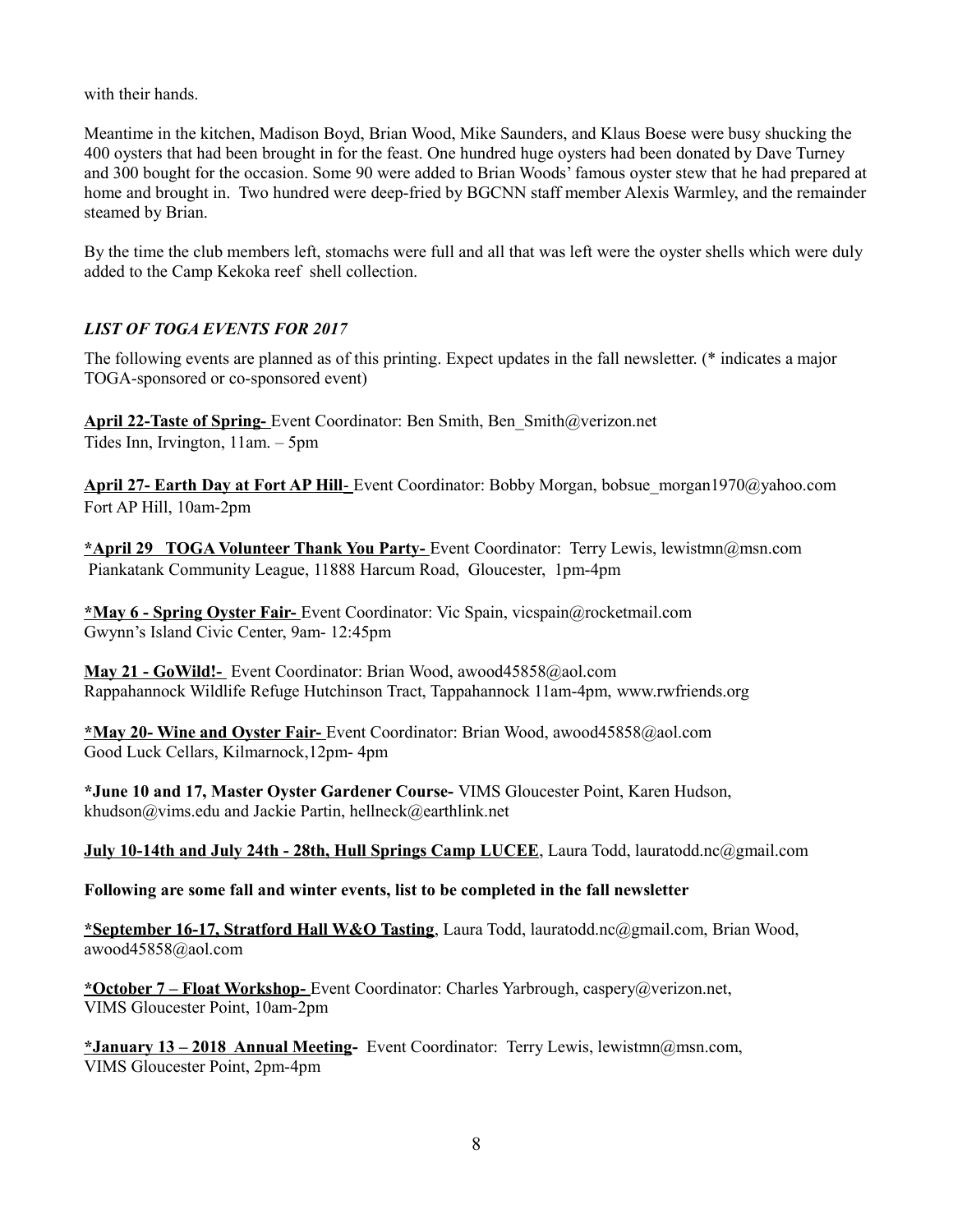with their hands.

Meantime in the kitchen, Madison Boyd, Brian Wood, Mike Saunders, and Klaus Boese were busy shucking the 400 oysters that had been brought in for the feast. One hundred huge oysters had been donated by Dave Turney and 300 bought for the occasion. Some 90 were added to Brian Woods' famous oyster stew that he had prepared at home and brought in. Two hundred were deep-fried by BGCNN staff member Alexis Warmley, and the remainder steamed by Brian.

By the time the club members left, stomachs were full and all that was left were the oyster shells which were duly added to the Camp Kekoka reef shell collection.

## *LIST OF TOGA EVENTS FOR 2017*

The following events are planned as of this printing. Expect updates in the fall newsletter. (\* indicates a major TOGA-sponsored or co-sponsored event)

**April 22-Taste of Spring-** Event Coordinator: Ben Smith, Ben\_Smith@verizon.net Tides Inn, Irvington, 11am. – 5pm

 **April 27- Earth Day at Fort AP Hill**- Event Coordinator: Bobby Morgan, bobsue\_morgan1970@yahoo.com Fort AP Hill, 10am-2pm

**\*April 29 TOGA Volunteer Thank You Party-** Event Coordinator: Terry Lewis, lewistmn@msn.com Piankatank Community League, 11888 Harcum Road, Gloucester, 1pm-4pm

**\*May 6 - Spring Oyster Fair-** Event Coordinator: Vic Spain, vicspain@rocketmail.com Gwynn's Island Civic Center, 9am- 12:45pm

**May 21 - GoWild!-** Event Coordinator: Brian Wood, awood45858@aol.com Rappahannock Wildlife Refuge Hutchinson Tract, Tappahannock 11am-4pm, [www.rwfriends.org](http://www.rwfriends.org/)

**\*May 20- Wine and Oyster Fair-** Event Coordinator: Brian Wood, awood45858@aol.com Good Luck Cellars, Kilmarnock,12pm- 4pm

**\*June 10 and 17, Master Oyster Gardener Course-** VIMS Gloucester Point, Karen Hudson, khudson@vims.edu and Jackie Partin, hellneck@earthlink.net

**July 10-14th and July 24th - 28th, Hull Springs Camp LUCEE**, Laura Todd, lauratodd.nc@gmail.com

#### **Following are some fall and winter events, list to be completed in the fall newsletter**

**\*September 16-17, Stratford Hall W&O Tasting**, Laura Todd, lauratodd.nc@gmail.com, Brian Wood, awood45858@aol.com

**\*October 7 – Float Workshop-** Event Coordinator: Charles Yarbrough, caspery@verizon.net, VIMS Gloucester Point, 10am-2pm

**\*January 13 – 2018 Annual Meeting-** Event Coordinator: Terry Lewis, lewistmn@msn.com, VIMS Gloucester Point, 2pm-4pm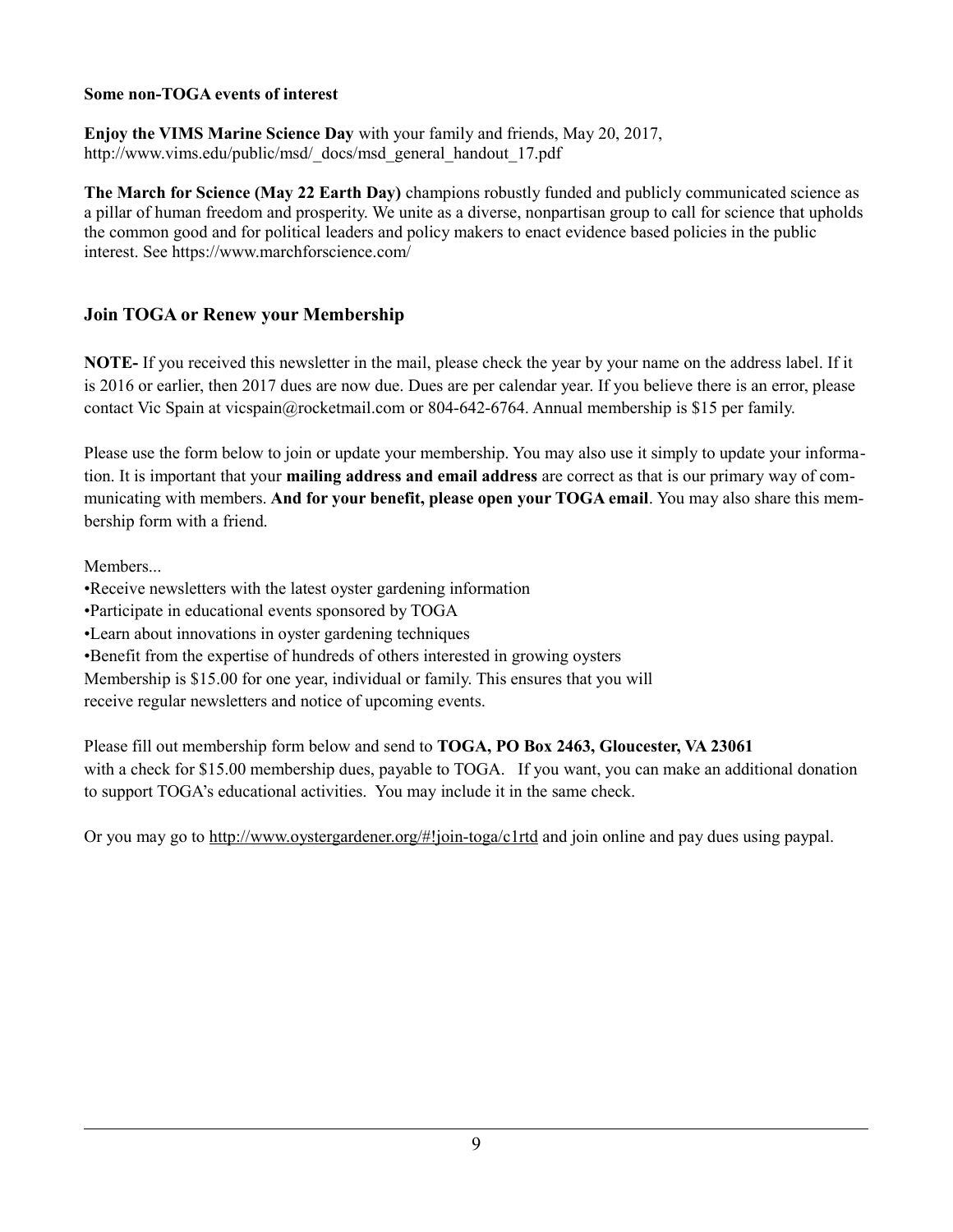### **Some non-TOGA events of interest**

**Enjoy the VIMS Marine Science Day** with your family and friends, May 20, 2017, http://www.vims.edu/public/msd/\_docs/msd\_general\_handout\_17.pdf

**The March for Science (May 22 Earth Day)** champions robustly funded and publicly communicated science as a pillar of human freedom and prosperity. We unite as a diverse, nonpartisan group to call for science that upholds the common good and for political leaders and policy makers to enact evidence based policies in the public interest. See https://www.marchforscience.com/

## **Join TOGA or Renew your Membership**

**NOTE-** If you received this newsletter in the mail, please check the year by your name on the address label. If it is 2016 or earlier, then 2017 dues are now due. Dues are per calendar year. If you believe there is an error, please contact Vic Spain at [vicspain@rocketmail.com](mailto:vicspain@rocketmail.com) or 804-642-6764. Annual membership is \$15 per family.

Please use the form below to join or update your membership. You may also use it simply to update your information. It is important that your **mailing address and email address** are correct as that is our primary way of communicating with members. **And for your benefit, please open your TOGA email**. You may also share this membership form with a friend.

Members...

- •Receive newsletters with the latest oyster gardening information
- •Participate in educational events sponsored by TOGA
- •Learn about innovations in oyster gardening techniques
- •Benefit from the expertise of hundreds of others interested in growing oysters

Membership is \$15.00 for one year, individual or family. This ensures that you will receive regular newsletters and notice of upcoming events.

Please fill out membership form below and send to **TOGA, PO Box 2463, Gloucester, VA 23061** with a check for \$15.00 membership dues, payable to TOGA. If you want, you can make an additional donation to support TOGA's educational activities. You may include it in the same check.

Or you may go to<http://www.oystergardener.org/#!join-toga/c1rtd>and join online and pay dues using paypal.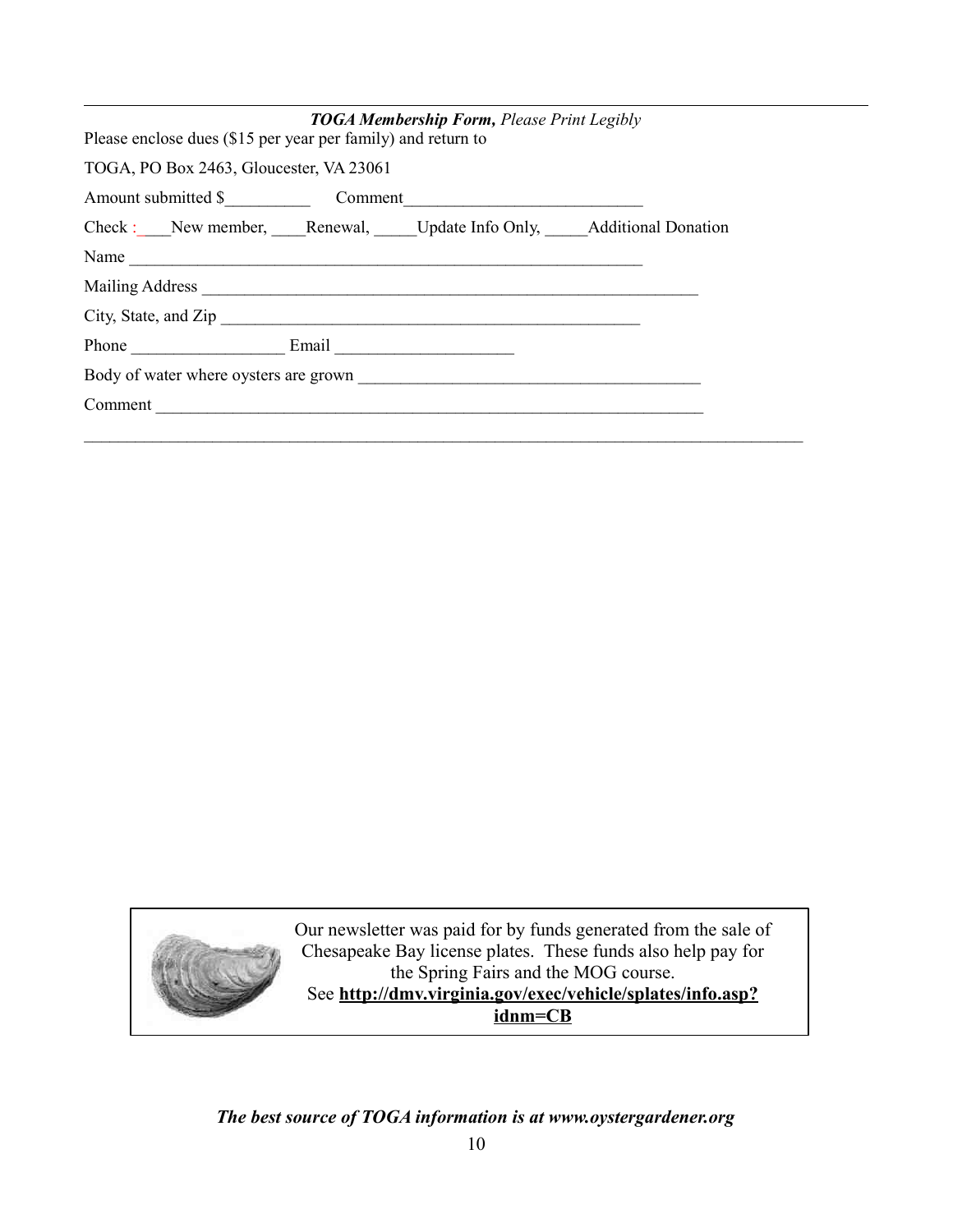|                                                                    |  | <b>TOGA Membership Form, Please Print Legibly</b> |  |  |
|--------------------------------------------------------------------|--|---------------------------------------------------|--|--|
| Please enclose dues (\$15 per year per family) and return to       |  |                                                   |  |  |
| TOGA, PO Box 2463, Gloucester, VA 23061                            |  |                                                   |  |  |
|                                                                    |  |                                                   |  |  |
| Check : New member, Renewal, Update Info Only, Additional Donation |  |                                                   |  |  |
| Name                                                               |  |                                                   |  |  |
|                                                                    |  |                                                   |  |  |
|                                                                    |  |                                                   |  |  |
| Phone Email Email                                                  |  |                                                   |  |  |
|                                                                    |  |                                                   |  |  |
| Comment                                                            |  |                                                   |  |  |
|                                                                    |  |                                                   |  |  |



# *The best source of TOGA information is at www.oystergardener.org*